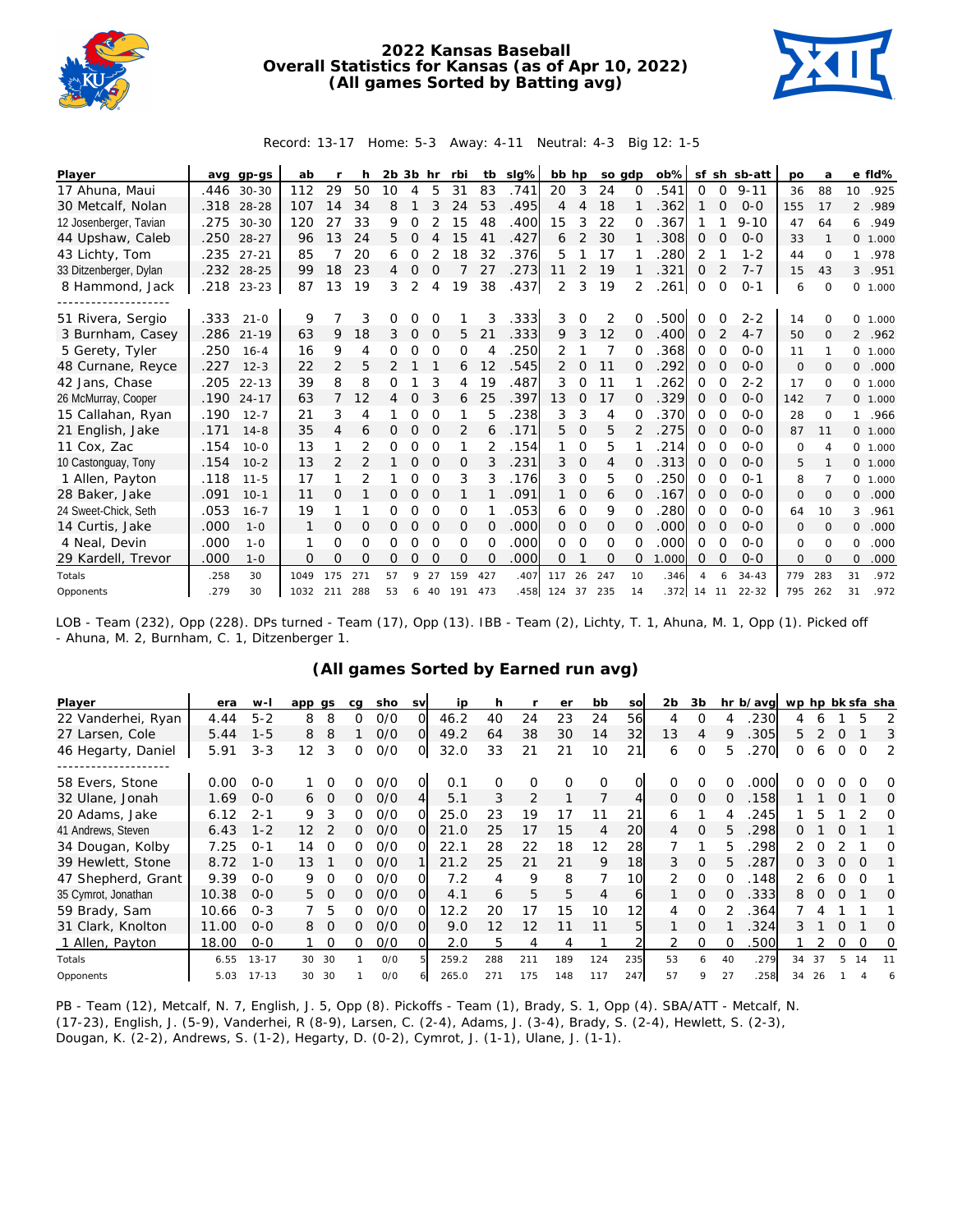

## **2022 Kansas Baseball Overall Statistics for Kansas (as of Apr 10, 2022) (All games Sorted by Batting avg)**



## Record: 13-17 Home: 5-3 Away: 4-11 Neutral: 4-3 Big 12: 1-5

| Player                 |      | avg gp-gs  | ab   |                | h              | $2b$ $3b$ hr |                |                | rbi | tb       | slg% | bb hp         |               | so gdp   |              | $ob\%$ |          |                | sf sh sb-att | po       | a              |                | e fld%   |
|------------------------|------|------------|------|----------------|----------------|--------------|----------------|----------------|-----|----------|------|---------------|---------------|----------|--------------|--------|----------|----------------|--------------|----------|----------------|----------------|----------|
| 17 Ahuna, Maui         | .446 | $30 - 30$  | 112  | 29             | 50             | 10           | $\overline{4}$ | 5              | 31  | 83       | .741 | 20            | 3             | 24       | $\Omega$     | 541    | $\Omega$ | $\Omega$       | $9 - 11$     | 36       | 88             | 10             | .925     |
| 30 Metcalf, Nolan      | .318 | $28 - 28$  | 107  | 14             | 34             | 8            |                | 3              | 24  | 53       | .495 | 4             | 4             | 18       |              | .362   |          | 0              | $0 - 0$      | 155      | 17             | $\mathfrak{D}$ | .989     |
| 12 Josenberger, Tavian | .275 | $30 - 30$  | 120  | 27             | 33             | 9            | 0              |                | 15  | 48       | .400 | 15            | 3             | 22       | O            | .367   |          |                | $9 - 10$     | 47       | 64             | 6              | .949     |
| 44 Upshaw, Caleb       | .250 | $28 - 27$  | 96   | 13             | 24             | 5.           | $\overline{0}$ | $\overline{4}$ | 15  | 41       | .427 | 6             | 2             | 30       |              | .308   | $\Omega$ | $\Omega$       | $0 - 0$      | 33       |                |                | 0, 1,000 |
| 43 Lichty, Tom         | .235 | $27 - 21$  | 85   |                | 20             | 6            | 0              | 2              | 18  | 32       | .376 | 5             |               | 17       |              | .280   | 2        |                | $1 - 2$      | 44       | $\Omega$       | 1.             | .978     |
| 33 Ditzenberger, Dylan | .232 | $28 - 25$  | 99   | 18             | 23             | 4            | 0              | O              |     | 27       | .273 | 11            | 2             | 19       |              | .321   | $\Omega$ | $\overline{2}$ | $7 - 7$      | 15       | 43             | 3              | .951     |
| 8 Hammond, Jack        |      | .218 23-23 | 87   | 13             | 19             | 3            | 2              | 4              | 19  | 38       | .437 | 2             | 3             | 19       |              | .261   | 0        | 0              | $O - 1$      | 6        | $\Omega$       |                | 0, 1,000 |
|                        |      |            |      |                |                |              |                |                |     |          |      |               |               |          |              |        |          |                |              |          |                |                |          |
| 51 Rivera, Sergio      | .333 | $21 - 0$   | 9    |                | 3              | Ω            | Ω              | $\Omega$       |     | 3        | .333 | 3             | O             | 2        | O            | .500   |          | O              | $2 - 2$      | 14       | $\Omega$       |                | 0, 1,000 |
| 3 Burnham, Casey       | .286 | $21 - 19$  | 63   | 9              | 18             | 3            | 0              | $\mathbf 0$    | 5   | 21       | .333 | 9             | 3             | 12       | $\Omega$     | .400   | $\Omega$ | 2              | $4 - 7$      | 50       | $\Omega$       | $\overline{2}$ | .962     |
| 5 Gerety, Tyler        | .250 | $16 - 4$   | 16   | 9              | 4              | 0            | Ω              | $\Omega$       | 0   | 4        | 250  | 2             |               | 7        | O            | .368   | $\Omega$ | $\Omega$       | $0 - 0$      | 11       |                |                | 0 1.000  |
| 48 Curnane, Reyce      | .227 | $12 - 3$   | 22   | $\overline{2}$ | 5              | 2            |                |                | 6   | 12       | .545 | $\mathcal{P}$ | $\Omega$      | 11       | <sup>o</sup> | .292   | 0        | $\Omega$       | $0 - 0$      | 0        | $\Omega$       | 0              | .000     |
| 42 Jans, Chase         | .205 | $22 - 13$  | 39   | 8              | 8              | Ω            |                | 3              | 4   | 19       | .487 | 3             | $\Omega$      | 11       |              | 262    | $\Omega$ | $\Omega$       | $2 - 2$      | 17       | $\Omega$       |                | 0 1.000  |
| 26 McMurray, Cooper    | .190 | $24 - 17$  | 63   | 7              | 12             | 4            | $\Omega$       | 3              | 6   | 25       | .397 | 13            | $\Omega$      | 17       | $\Omega$     | .329   | $\Omega$ | $\Omega$       | $0 - 0$      | 142      | $\overline{7}$ |                | 0 1.000  |
| 15 Callahan, Ryan      | .190 | $12 - 7$   | 21   | 3              | 4              |              | 0              | $\Omega$       |     | 5        | 238  | 3             | 3             | 4        |              | .370   | $\Omega$ | 0              | $0 - 0$      | 28       | $\Omega$       |                | 1.966    |
| 21 English, Jake       | .171 | $14 - 8$   | 35   | 4              | 6              | 0            | 0              | 0              | 2   | 6        | .171 | 5             | $\Omega$      | 5        |              | .275   | 0        | 0              | $0 - 0$      | 87       | 11             |                | 0, 1,000 |
| 11 Cox, Zac            | .154 | $10 - 0$   | 13   |                |                | 0            | Ω              | $\Omega$       | 1   |          | .154 |               | $\Omega$      | 5        |              | .214   | $\Omega$ | O              | $0 - 0$      | $\Omega$ | 4              |                | 0 1.000  |
| 10 Castonguay, Tony    | .154 | $10-2$     | 13   | $\overline{2}$ |                |              | $\overline{O}$ | 0              | 0   | 3        | .231 | 3             | $\mathcal{O}$ | 4        | $\Omega$     | .313   | 0        | O              | $0 - 0$      | 5        |                |                | 0, 1,000 |
| 1 Allen, Payton        | .118 | $11 - 5$   | 17   | 1              | $\overline{2}$ |              | 0              | 0              | 3   | 3        | .176 | 3             | $\Omega$      | 5        | $\Omega$     | 250    | $\Omega$ | $\Omega$       | $0 - 1$      | 8        | 7              |                | 0, 1,000 |
| 28 Baker, Jake         | .091 | $10 - 1$   | 11   | 0              |                | 0            | $\mathbf{O}$   | $\Omega$       | 1   |          | .091 | $\mathbf{1}$  | 0             | 6        | $\Omega$     | .167   | $\Omega$ | 0              | $0 - 0$      | 0        | $\Omega$       | 0              | .000     |
| 24 Sweet-Chick, Seth   | .053 | $16 - 7$   | 19   | 1              |                | 0            | 0              | $\Omega$       | 0   |          | .053 | 6             | $\Omega$      | 9        | 0            | .280   | 0        | 0              | $0 - 0$      | 64       | 10             | 3              | .961     |
| 14 Curtis, Jake        | .000 | $1 - 0$    | 1    | 0              | 0              | 0            | 0              | $\circ$        | 0   | $\Omega$ | .000 | 0             | 0             | 0        | $\Omega$     | .000   | 0        | O              | $0 - 0$      | 0        | $\Omega$       | 0              | .000     |
| 4 Neal, Devin          | .000 | $1 - 0$    | 1    | Ω              | 0              | 0            | 0              | $\Omega$       | 0   | $\Omega$ | .000 | 0             | $\Omega$      | $\Omega$ | O            | .000   | $\Omega$ | $\Omega$       | $0 - 0$      | $\Omega$ | $\Omega$       | 0              | .000     |
| 29 Kardell, Trevor     | .000 | $1 - 0$    | 0    | O              | Ω              | 0            | 0              | $\Omega$       | O   | $\Omega$ | .000 | $\Omega$      |               | 0        | $\Omega$     | .000   | $\Omega$ | 0              | $0 - 0$      | $\Omega$ | $\Omega$       | 0              | .000     |
| Totals                 | .258 | 30         | 1049 | 175            | 271            | 57           | 9              | 27             | 159 | 427      | .407 | 117           | 26            | 247      | 10           | .346   |          |                | $34 - 43$    | 779      | 283            | 31             | .972     |
| Opponents              | .279 | 30         | 1032 | 211            | 288            | 53           | 6              | 40             | 191 | 473      | .458 | 124           | 37            | 235      | 14           | 372    | 14       | 11             | $22 - 32$    | 795      | 262            | 31             | .972     |

LOB - Team (232), Opp (228). DPs turned - Team (17), Opp (13). IBB - Team (2), Lichty, T. 1, Ahuna, M. 1, Opp (1). Picked off - Ahuna, M. 2, Burnham, C. 1, Ditzenberger 1.

## **(All games Sorted by Earned run avg)**

| Player              | era   | $W -$     | app gs |                | ca | sho | <b>SV</b> | ip    |     |          | er  | bb       | SO  | 2 <sub>b</sub> | 3b       |    | hr b/avg | wp hp bk sfa sha |    |          |          |                  |
|---------------------|-------|-----------|--------|----------------|----|-----|-----------|-------|-----|----------|-----|----------|-----|----------------|----------|----|----------|------------------|----|----------|----------|------------------|
| 22 Vanderhei, Ryan  | 4.44  | $5 - 2$   | 8      | 8              | 0  | O/O |           | 46.2  | 40  | 24       | 23  | 24       | 56  | 4              | ∩        |    | 230      | 4                | 6  |          | 5        |                  |
| 27 Larsen, Cole     | 5.44  | $1 - 5$   | 8      | 8              |    | O/O | $\Omega$  | 49.2  | 64  | 38       | 30  | 14       | 32  | 13             | 4        | 9  | 305      | 5.               |    |          |          | 3                |
| 46 Hegarty, Daniel  | 5.91  | $3 - 3$   | 12     | 3              | 0  | O/O | O.        | 32.0  | 33  | 21       | 21  | 10       | 21  | 6              | $\Omega$ | 5. | .270     | 0                | 6  | $\Omega$ | $\Omega$ | 2                |
| 58 Evers, Stone     | 0.00  | $O - O$   |        | $\Omega$       | O  | O/O |           | 0.1   |     | $\Omega$ | O   | $\Omega$ |     |                | ∩        |    | .000     |                  |    |          |          | $\left( \right)$ |
| 32 Ulane, Jonah     | 1.69  | $O-O$     | 6      | $\overline{0}$ | 0  | O/O |           | 5.1   | 3   | 2        |     |          |     | <sup>o</sup>   | $\Omega$ | 0  | 158      |                  |    |          |          | O                |
| 20 Adams, Jake      | 6.12  | $2 - 1$   | 9      | 3              | 0. | O/O |           | 25.0  | 23  | 19       |     |          | 21  | h              |          |    | 245      |                  |    |          |          | O                |
| 41 Andrews, Steven  | 6.43  | $1 - 2$   | 12     |                | Ω. | O/O | O         | 21.0  | 25  | 17       | 15  | 4        | 20  | 4              | $\Omega$ | 5. | .298     | O                |    |          |          |                  |
| 34 Dougan, Kolby    | 7.25  | $O - 1$   | 14     | O              | 0. | O/O |           | 22.1  | 28  | 22       | 18  | 12       | 28  |                |          | 5. | 298      |                  |    |          |          |                  |
| 39 Hewlett, Stone   | 8.72  | $1 - 0$   | 13     |                | Ω  | O/O |           | 21.2  | 25  | 21       | 21  | 9        | 18  | 3              | $\Omega$ | 5. | 287      | Ω.               | 3  | $\Omega$ | $\Omega$ |                  |
| 47 Shepherd, Grant  | 9.39  | $O - O$   | 9      | $\Omega$       | 0  | 0/0 |           | 7.2   | 4   | 9        | 8   |          | 10  | $\mathcal{P}$  | $\Omega$ |    | 148      |                  | 6  |          |          |                  |
| 35 Cymrot, Jonathan | 10.38 | $O-O$     | 5.     | $\overline{0}$ | 0  | O/O | ΩI        | 4.1   | 6   | 5        | 5   | 4        | 6   |                | $\Omega$ |    | 333      | 8                | 0  |          |          | O                |
| 59 Brady, Sam       | 10.66 | $O - 3$   |        | 5              | ∩  | O/O | $\Omega$  | 12.2  | 20  | 17       | 15  | 10       | 12  | 4              | 0        |    | 364      |                  |    |          |          |                  |
| 31 Clark, Knolton   | 11.00 | $0 - 0$   | 8      | $\Omega$       | ∩  | O/O | O         | 9.0   | 12  | 12       | 11  | 11       | 5   |                | 0        |    | .324     | 3                |    |          |          | O                |
| 1 Allen, Payton     | 18.00 | $0 - 0$   |        | 0              | 0  | 0/0 |           | 2.0   | 5.  | 4        | 4   |          |     |                | $\Omega$ |    | 500      |                  |    | 0        | 0        | 0                |
| Totals              | 6.55  | $13 - 17$ | 30     | 30             |    | O/O |           | 259.2 | 288 | 211      | 189 | 124      | 235 | 53             | 6        | 40 | .279     | 34               | 37 | 5.       | 14       | 11               |
| Opponents           | 5.03  | $17 - 13$ | 30     | 30             |    | O/O |           | 265.0 | 271 | 175      | 148 | 117      | 247 | 57             | 9        | 27 | 258      | 34               | 26 |          |          |                  |

PB - Team (12), Metcalf, N. 7, English, J. 5, Opp (8). Pickoffs - Team (1), Brady, S. 1, Opp (4). SBA/ATT - Metcalf, N. (17-23), English, J. (5-9), Vanderhei, R (8-9), Larsen, C. (2-4), Adams, J. (3-4), Brady, S. (2-4), Hewlett, S. (2-3), Dougan, K. (2-2), Andrews, S. (1-2), Hegarty, D. (0-2), Cymrot, J. (1-1), Ulane, J. (1-1).